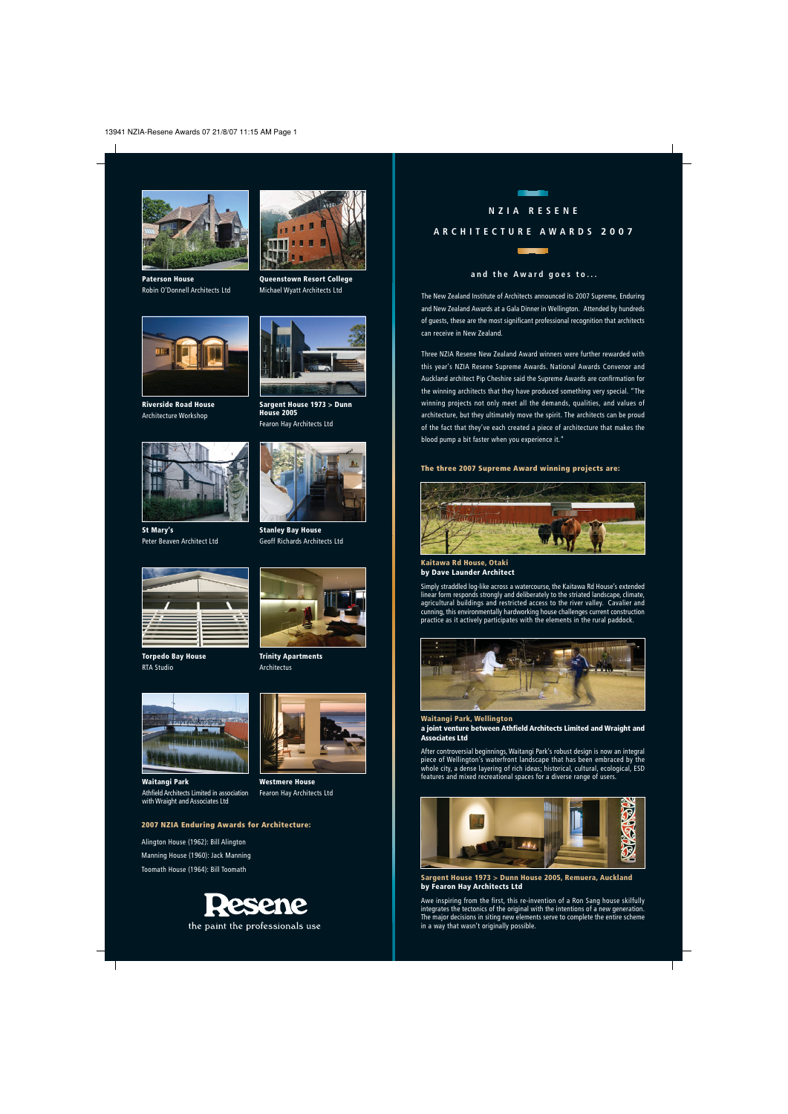

**Paterson House** Robin O'Donnell Architects Ltd



**Riverside Road House** Architecture Workshop



**St Mary's** Peter Beaven Architect Ltd



**Torpedo Bay House** RTA Studio



**Queenstown Resort College** Michael Wyatt Architects Ltd

**Stanley Bay House** Geoff Richards Architects Ltd





**Waitangi Park** Athfield Architects Limited in association with Wraight and Associates Ltd



**Westmere House** Fearon Hay Architects Ltd

### **2007 NZIA Enduring Awards for Architecture:**

Alington House (1962): Bill Alington Manning House (1960): Jack Manning Toomath House (1964): Bill Toomath



# **NZIA RESENE**

## **ARCHITECTURE AWARDS 2007**



#### **and the Award goes to...**

The New Zealand Institute of Architects announced its 2007 Supreme, Enduring and New Zealand Awards at a Gala Dinner in Wellington. Attended by hundreds of guests, these are the most significant professional recognition that architects can receive in New Zealand.

Three NZIA Resene New Zealand Award winners were further rewarded with this year's NZIA Resene Supreme Awards. National Awards Convenor and Auckland architect Pip Cheshire said the Supreme Awards are confirmation for the winning architects that they have produced something very special. "The winning projects not only meet all the demands, qualities, and values of architecture, but they ultimately move the spirit. The architects can be proud of the fact that they've each created a piece of architecture that makes the blood pump a bit faster when you experience it."

#### **The three 2007 Supreme Award winning projects are:**



**Kaitawa Rd House, Otaki by Dave Launder Architect**

Simply straddled log-like across a watercourse, the Kaitawa Rd House's extended linear form responds strongly and deliberately to the striated landscape, climate, agricultural buildings and restricted access to the river valley. Cavalier and cunning, this environmentally hardworking house challenges current construction practice as it actively participates with the elements in the rural paddock.



**Waitangi Park, Wellington a joint venture between Athfield Architects Limited and Wraight and Associates Ltd**

After controversial beginnings, Waitangi Park's robust design is now an integral piece of Wellington's waterfront landscape that has been embraced by the whole city, a dense layering of rich ideas; historical, cultural, ecological, ESD features and mixed recreational spaces for a diverse range of users.



**Sargent House 1973 > Dunn House 2005, Remuera, Auckland by Fearon Hay Architects Ltd**

Awe inspiring from the first, this re-invention of a Ron Sang house skilfully integrates the tectonics of the original with the intentions of a new generation. The major decisions in siting new elements serve to complete the entire scheme in a way that wasn't originally possible.

**Trinity Apartments** Architectus